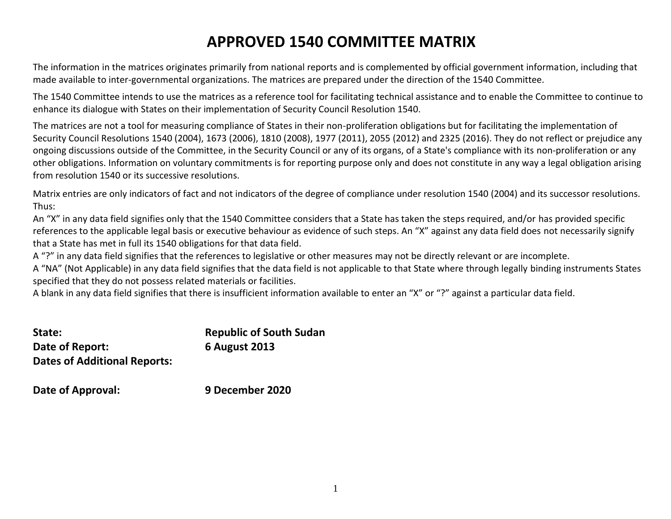## **APPROVED 1540 COMMITTEE MATRIX**

The information in the matrices originates primarily from national reports and is complemented by official government information, including that made available to inter-governmental organizations. The matrices are prepared under the direction of the 1540 Committee.

The 1540 Committee intends to use the matrices as a reference tool for facilitating technical assistance and to enable the Committee to continue to enhance its dialogue with States on their implementation of Security Council Resolution 1540.

The matrices are not a tool for measuring compliance of States in their non-proliferation obligations but for facilitating the implementation of Security Council Resolutions 1540 (2004), 1673 (2006), 1810 (2008), 1977 (2011), 2055 (2012) and 2325 (2016). They do not reflect or prejudice any ongoing discussions outside of the Committee, in the Security Council or any of its organs, of a State's compliance with its non-proliferation or any other obligations. Information on voluntary commitments is for reporting purpose only and does not constitute in any way a legal obligation arising from resolution 1540 or its successive resolutions.

Matrix entries are only indicators of fact and not indicators of the degree of compliance under resolution 1540 (2004) and its successor resolutions. Thus:

An "X" in any data field signifies only that the 1540 Committee considers that a State has taken the steps required, and/or has provided specific references to the applicable legal basis or executive behaviour as evidence of such steps. An "X" against any data field does not necessarily signify that a State has met in full its 1540 obligations for that data field.

A "?" in any data field signifies that the references to legislative or other measures may not be directly relevant or are incomplete.

A "NA" (Not Applicable) in any data field signifies that the data field is not applicable to that State where through legally binding instruments States specified that they do not possess related materials or facilities.

A blank in any data field signifies that there is insufficient information available to enter an "X" or "?" against a particular data field.

| State:                              | <b>Republic of South Sudan</b> |
|-------------------------------------|--------------------------------|
| Date of Report:                     | <b>6 August 2013</b>           |
| <b>Dates of Additional Reports:</b> |                                |

**Date of Approval: 9 December 2020**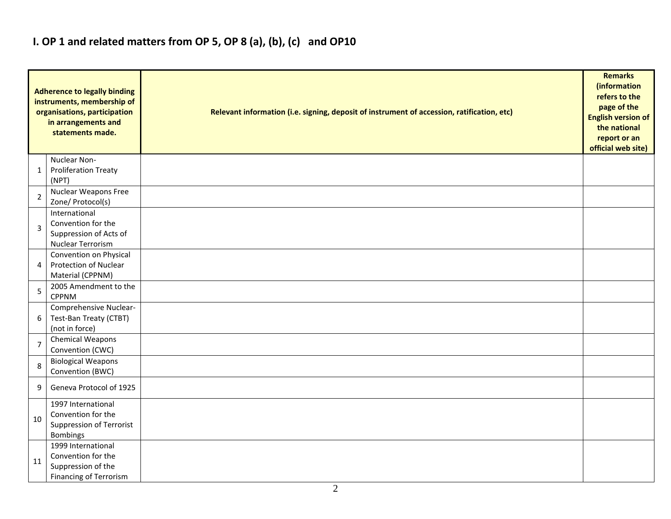## **I. OP 1 and related matters from OP 5, OP 8 (a), (b), (c) and OP10**

|                | <b>Adherence to legally binding</b><br>instruments, membership of<br>organisations, participation<br>in arrangements and<br>statements made. | Relevant information (i.e. signing, deposit of instrument of accession, ratification, etc) | <b>Remarks</b><br>(information<br>refers to the<br>page of the<br><b>English version of</b><br>the national<br>report or an<br>official web site) |
|----------------|----------------------------------------------------------------------------------------------------------------------------------------------|--------------------------------------------------------------------------------------------|---------------------------------------------------------------------------------------------------------------------------------------------------|
| $\mathbf{1}$   | Nuclear Non-<br><b>Proliferation Treaty</b><br>(NPT)                                                                                         |                                                                                            |                                                                                                                                                   |
| $\overline{2}$ | Nuclear Weapons Free<br>Zone/ Protocol(s)                                                                                                    |                                                                                            |                                                                                                                                                   |
| 3              | International<br>Convention for the<br>Suppression of Acts of<br>Nuclear Terrorism                                                           |                                                                                            |                                                                                                                                                   |
| 4              | Convention on Physical<br><b>Protection of Nuclear</b><br>Material (CPPNM)                                                                   |                                                                                            |                                                                                                                                                   |
| 5              | 2005 Amendment to the<br><b>CPPNM</b>                                                                                                        |                                                                                            |                                                                                                                                                   |
| 6              | Comprehensive Nuclear-<br>Test-Ban Treaty (CTBT)<br>(not in force)                                                                           |                                                                                            |                                                                                                                                                   |
| $\overline{7}$ | Chemical Weapons<br>Convention (CWC)                                                                                                         |                                                                                            |                                                                                                                                                   |
| 8              | <b>Biological Weapons</b><br>Convention (BWC)                                                                                                |                                                                                            |                                                                                                                                                   |
| 9              | Geneva Protocol of 1925                                                                                                                      |                                                                                            |                                                                                                                                                   |
| 10             | 1997 International<br>Convention for the<br>Suppression of Terrorist<br><b>Bombings</b>                                                      |                                                                                            |                                                                                                                                                   |
| 11             | 1999 International<br>Convention for the<br>Suppression of the<br><b>Financing of Terrorism</b>                                              |                                                                                            |                                                                                                                                                   |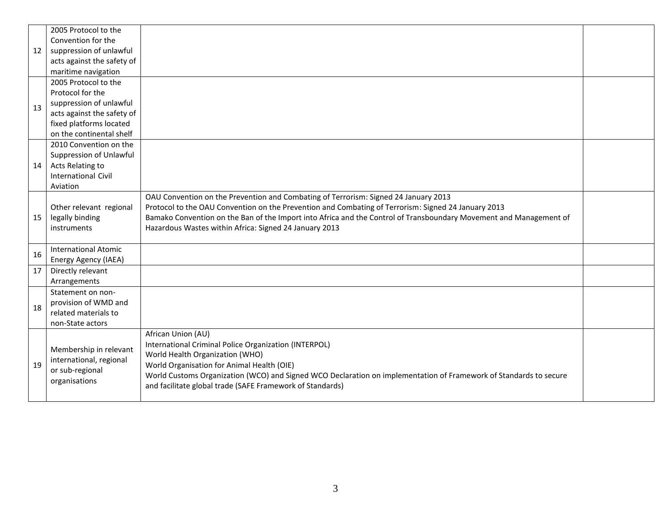|    | 2005 Protocol to the        |                                                                                                                    |  |
|----|-----------------------------|--------------------------------------------------------------------------------------------------------------------|--|
|    | Convention for the          |                                                                                                                    |  |
| 12 | suppression of unlawful     |                                                                                                                    |  |
|    | acts against the safety of  |                                                                                                                    |  |
|    | maritime navigation         |                                                                                                                    |  |
|    | 2005 Protocol to the        |                                                                                                                    |  |
|    | Protocol for the            |                                                                                                                    |  |
| 13 | suppression of unlawful     |                                                                                                                    |  |
|    | acts against the safety of  |                                                                                                                    |  |
|    | fixed platforms located     |                                                                                                                    |  |
|    | on the continental shelf    |                                                                                                                    |  |
|    | 2010 Convention on the      |                                                                                                                    |  |
|    | Suppression of Unlawful     |                                                                                                                    |  |
| 14 | Acts Relating to            |                                                                                                                    |  |
|    | <b>International Civil</b>  |                                                                                                                    |  |
|    | Aviation                    |                                                                                                                    |  |
|    |                             | OAU Convention on the Prevention and Combating of Terrorism: Signed 24 January 2013                                |  |
|    | Other relevant regional     | Protocol to the OAU Convention on the Prevention and Combating of Terrorism: Signed 24 January 2013                |  |
| 15 | legally binding             | Bamako Convention on the Ban of the Import into Africa and the Control of Transboundary Movement and Management of |  |
|    | instruments                 | Hazardous Wastes within Africa: Signed 24 January 2013                                                             |  |
|    |                             |                                                                                                                    |  |
| 16 | <b>International Atomic</b> |                                                                                                                    |  |
|    | Energy Agency (IAEA)        |                                                                                                                    |  |
| 17 | Directly relevant           |                                                                                                                    |  |
|    | Arrangements                |                                                                                                                    |  |
|    | Statement on non-           |                                                                                                                    |  |
| 18 | provision of WMD and        |                                                                                                                    |  |
|    | related materials to        |                                                                                                                    |  |
|    | non-State actors            |                                                                                                                    |  |
|    |                             | African Union (AU)                                                                                                 |  |
|    | Membership in relevant      | International Criminal Police Organization (INTERPOL)                                                              |  |
|    | international, regional     | World Health Organization (WHO)                                                                                    |  |
| 19 | or sub-regional             | World Organisation for Animal Health (OIE)                                                                         |  |
|    | organisations               | World Customs Organization (WCO) and Signed WCO Declaration on implementation of Framework of Standards to secure  |  |
|    |                             | and facilitate global trade (SAFE Framework of Standards)                                                          |  |
|    |                             |                                                                                                                    |  |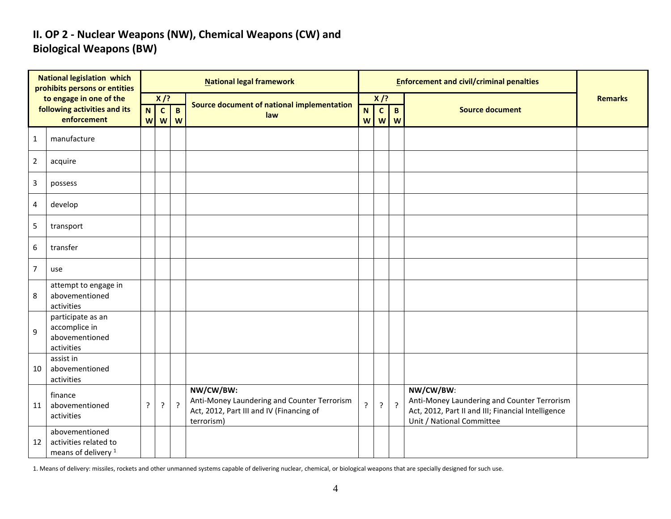#### **II. OP 2 - Nuclear Weapons (NW), Chemical Weapons (CW) and Biological Weapons (BW)**

| <b>National legislation which</b><br>prohibits persons or entities |                                                                           |         |                                           |                   | <b>National legal framework</b>                                                                                    |                     |                   | <b>Enforcement and civil/criminal penalties</b> |                                                                                                                                             |                |
|--------------------------------------------------------------------|---------------------------------------------------------------------------|---------|-------------------------------------------|-------------------|--------------------------------------------------------------------------------------------------------------------|---------------------|-------------------|-------------------------------------------------|---------------------------------------------------------------------------------------------------------------------------------------------|----------------|
|                                                                    | to engage in one of the                                                   | $X$ /?  |                                           |                   |                                                                                                                    | $X$ /?              |                   |                                                 |                                                                                                                                             | <b>Remarks</b> |
|                                                                    | following activities and its<br>enforcement                               | N.<br>W | $\mathbf{c}$<br>$\boldsymbol{\mathsf{W}}$ | $\mathbf{B}$<br>W | Source document of national implementation<br>law                                                                  | N <sub>1</sub><br>W | $\mathbf{C}$<br>W | $\mathbf{B}$<br>W                               | <b>Source document</b>                                                                                                                      |                |
| $\mathbf{1}$                                                       | manufacture                                                               |         |                                           |                   |                                                                                                                    |                     |                   |                                                 |                                                                                                                                             |                |
| $\overline{2}$                                                     | acquire                                                                   |         |                                           |                   |                                                                                                                    |                     |                   |                                                 |                                                                                                                                             |                |
| $\overline{3}$                                                     | possess                                                                   |         |                                           |                   |                                                                                                                    |                     |                   |                                                 |                                                                                                                                             |                |
| $\overline{4}$                                                     | develop                                                                   |         |                                           |                   |                                                                                                                    |                     |                   |                                                 |                                                                                                                                             |                |
| 5                                                                  | transport                                                                 |         |                                           |                   |                                                                                                                    |                     |                   |                                                 |                                                                                                                                             |                |
| $\boldsymbol{6}$                                                   | transfer                                                                  |         |                                           |                   |                                                                                                                    |                     |                   |                                                 |                                                                                                                                             |                |
| $\overline{7}$                                                     | use                                                                       |         |                                           |                   |                                                                                                                    |                     |                   |                                                 |                                                                                                                                             |                |
| 8                                                                  | attempt to engage in<br>abovementioned<br>activities                      |         |                                           |                   |                                                                                                                    |                     |                   |                                                 |                                                                                                                                             |                |
| 9                                                                  | participate as an<br>accomplice in<br>abovementioned<br>activities        |         |                                           |                   |                                                                                                                    |                     |                   |                                                 |                                                                                                                                             |                |
| 10                                                                 | assist in<br>abovementioned<br>activities                                 |         |                                           |                   |                                                                                                                    |                     |                   |                                                 |                                                                                                                                             |                |
| 11                                                                 | finance<br>abovementioned<br>activities                                   | ?       | ?                                         | $\cdot$           | NW/CW/BW:<br>Anti-Money Laundering and Counter Terrorism<br>Act, 2012, Part III and IV (Financing of<br>terrorism) | 5.                  | ?                 | $\overline{?}$                                  | NW/CW/BW:<br>Anti-Money Laundering and Counter Terrorism<br>Act, 2012, Part II and III; Financial Intelligence<br>Unit / National Committee |                |
| 12                                                                 | abovementioned<br>activities related to<br>means of delivery <sup>1</sup> |         |                                           |                   |                                                                                                                    |                     |                   |                                                 |                                                                                                                                             |                |

1. Means of delivery: missiles, rockets and other unmanned systems capable of delivering nuclear, chemical, or biological weapons that are specially designed for such use.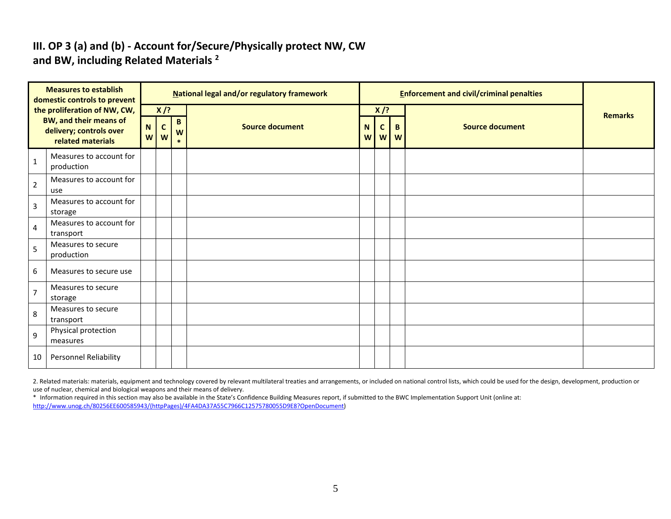#### **III. OP 3 (a) and (b) - Account for/Secure/Physically protect NW, CW and BW, including Related Materials <sup>2</sup>**

| <b>Measures to establish</b><br>domestic controls to prevent                  |                                       | National legal and/or regulatory framework |                                       |  |                        |        |                   | <b>Enforcement and civil/criminal penalties</b> |                        |                |
|-------------------------------------------------------------------------------|---------------------------------------|--------------------------------------------|---------------------------------------|--|------------------------|--------|-------------------|-------------------------------------------------|------------------------|----------------|
|                                                                               | the proliferation of NW, CW,          |                                            | $X$ /?                                |  |                        |        | $X$ /?            |                                                 |                        | <b>Remarks</b> |
| <b>BW, and their means of</b><br>delivery; controls over<br>related materials |                                       | $\mathbf N$<br>W                           | B<br>$\mathbf{C}$<br>W<br>W<br>$\ast$ |  | <b>Source document</b> | N<br>W | $\mathsf{C}$<br>W | B<br>W                                          | <b>Source document</b> |                |
| $\mathbf{1}$                                                                  | Measures to account for<br>production |                                            |                                       |  |                        |        |                   |                                                 |                        |                |
| $\overline{2}$                                                                | Measures to account for<br>use        |                                            |                                       |  |                        |        |                   |                                                 |                        |                |
| 3                                                                             | Measures to account for<br>storage    |                                            |                                       |  |                        |        |                   |                                                 |                        |                |
| 4                                                                             | Measures to account for<br>transport  |                                            |                                       |  |                        |        |                   |                                                 |                        |                |
| 5                                                                             | Measures to secure<br>production      |                                            |                                       |  |                        |        |                   |                                                 |                        |                |
| 6                                                                             | Measures to secure use                |                                            |                                       |  |                        |        |                   |                                                 |                        |                |
| $\overline{7}$                                                                | Measures to secure<br>storage         |                                            |                                       |  |                        |        |                   |                                                 |                        |                |
| 8                                                                             | Measures to secure<br>transport       |                                            |                                       |  |                        |        |                   |                                                 |                        |                |
| 9                                                                             | Physical protection<br>measures       |                                            |                                       |  |                        |        |                   |                                                 |                        |                |
| 10                                                                            | Personnel Reliability                 |                                            |                                       |  |                        |        |                   |                                                 |                        |                |

2. Related materials: materials, equipment and technology covered by relevant multilateral treaties and arrangements, or included on national control lists, which could be used for the design, development, production or use of nuclear, chemical and biological weapons and their means of delivery.

\* Information required in this section may also be available in the State's Confidence Building Measures report, if submitted to the BWC Implementation Support Unit (online at: [http://www.unog.ch/80256EE600585943/\(httpPages\)/4FA4DA37A55C7966C12575780055D9E8?OpenDocument\)](http://www.unog.ch/80256EE600585943/(httpPages)/4FA4DA37A55C7966C12575780055D9E8?OpenDocument)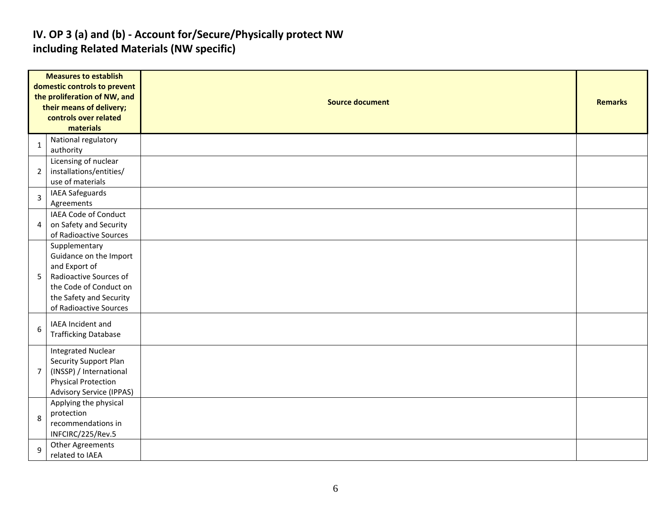#### **IV. OP 3 (a) and (b) - Account for/Secure/Physically protect NW including Related Materials (NW specific)**

| <b>Measures to establish</b> |                                 |                        |                |  |  |  |  |  |  |
|------------------------------|---------------------------------|------------------------|----------------|--|--|--|--|--|--|
|                              | domestic controls to prevent    |                        |                |  |  |  |  |  |  |
|                              | the proliferation of NW, and    | <b>Source document</b> |                |  |  |  |  |  |  |
|                              | their means of delivery;        |                        | <b>Remarks</b> |  |  |  |  |  |  |
|                              | controls over related           |                        |                |  |  |  |  |  |  |
|                              | materials                       |                        |                |  |  |  |  |  |  |
| 1                            | National regulatory             |                        |                |  |  |  |  |  |  |
|                              | authority                       |                        |                |  |  |  |  |  |  |
|                              | Licensing of nuclear            |                        |                |  |  |  |  |  |  |
| $\overline{2}$               | installations/entities/         |                        |                |  |  |  |  |  |  |
|                              | use of materials                |                        |                |  |  |  |  |  |  |
| 3                            | <b>IAEA Safeguards</b>          |                        |                |  |  |  |  |  |  |
|                              | Agreements                      |                        |                |  |  |  |  |  |  |
|                              | IAEA Code of Conduct            |                        |                |  |  |  |  |  |  |
| 4                            | on Safety and Security          |                        |                |  |  |  |  |  |  |
|                              | of Radioactive Sources          |                        |                |  |  |  |  |  |  |
|                              | Supplementary                   |                        |                |  |  |  |  |  |  |
|                              | Guidance on the Import          |                        |                |  |  |  |  |  |  |
|                              | and Export of                   |                        |                |  |  |  |  |  |  |
| 5 <sub>1</sub>               | Radioactive Sources of          |                        |                |  |  |  |  |  |  |
|                              | the Code of Conduct on          |                        |                |  |  |  |  |  |  |
|                              | the Safety and Security         |                        |                |  |  |  |  |  |  |
|                              | of Radioactive Sources          |                        |                |  |  |  |  |  |  |
|                              | IAEA Incident and               |                        |                |  |  |  |  |  |  |
| 6                            | <b>Trafficking Database</b>     |                        |                |  |  |  |  |  |  |
|                              |                                 |                        |                |  |  |  |  |  |  |
|                              | <b>Integrated Nuclear</b>       |                        |                |  |  |  |  |  |  |
|                              | Security Support Plan           |                        |                |  |  |  |  |  |  |
| $7^{\circ}$                  | (INSSP) / International         |                        |                |  |  |  |  |  |  |
|                              | <b>Physical Protection</b>      |                        |                |  |  |  |  |  |  |
|                              | <b>Advisory Service (IPPAS)</b> |                        |                |  |  |  |  |  |  |
|                              | Applying the physical           |                        |                |  |  |  |  |  |  |
| 8                            | protection                      |                        |                |  |  |  |  |  |  |
|                              | recommendations in              |                        |                |  |  |  |  |  |  |
|                              | INFCIRC/225/Rev.5               |                        |                |  |  |  |  |  |  |
| 9                            | <b>Other Agreements</b>         |                        |                |  |  |  |  |  |  |
|                              | related to IAEA                 |                        |                |  |  |  |  |  |  |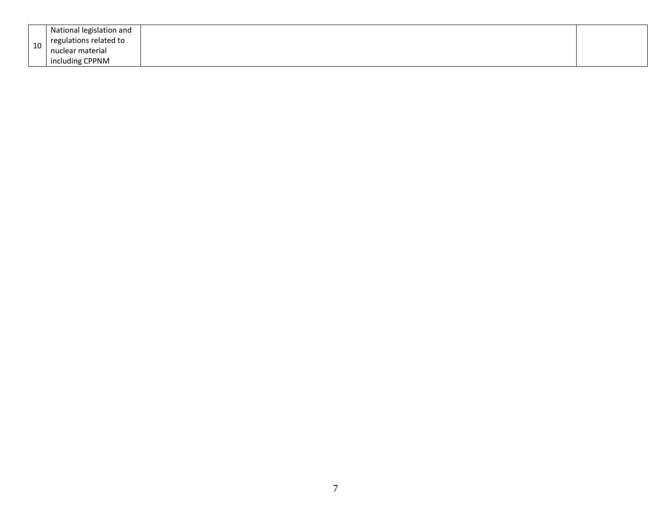|    | National legislation and<br>regulations related to |  |
|----|----------------------------------------------------|--|
| 10 | nuclear material                                   |  |
|    | including CPPNM                                    |  |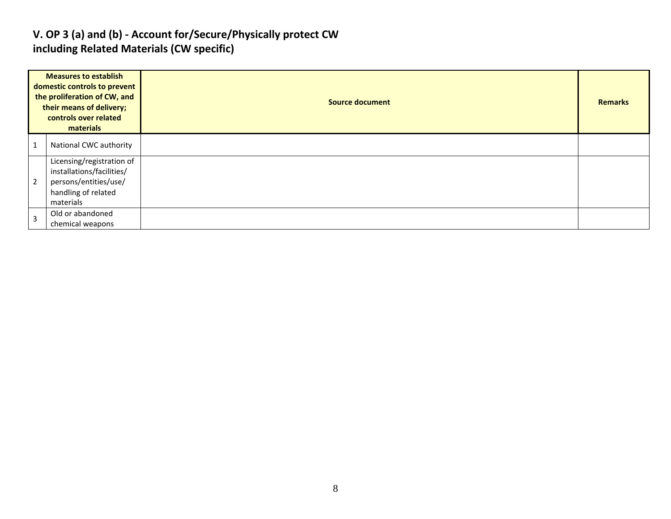#### **V. OP 3 (a) and (b) - Account for/Secure/Physically protect CW including Related Materials (CW specific)**

|   | <b>Measures to establish</b><br>domestic controls to prevent<br>the proliferation of CW, and<br>their means of delivery;<br>controls over related<br>materials | <b>Source document</b> | <b>Remarks</b> |
|---|----------------------------------------------------------------------------------------------------------------------------------------------------------------|------------------------|----------------|
|   | National CWC authority                                                                                                                                         |                        |                |
| 2 | Licensing/registration of<br>installations/facilities/<br>persons/entities/use/<br>handling of related<br>materials                                            |                        |                |
|   | Old or abandoned<br>chemical weapons                                                                                                                           |                        |                |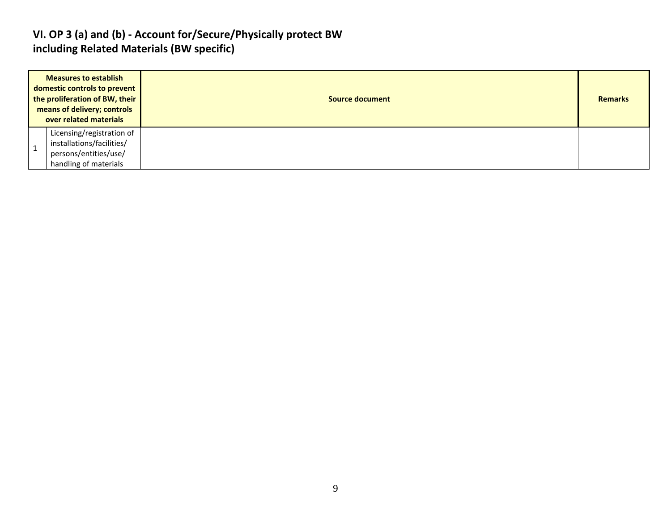#### **VI. OP 3 (a) and (b) - Account for/Secure/Physically protect BW including Related Materials (BW specific)**

| <b>Measures to establish</b><br>domestic controls to prevent<br>the proliferation of BW, their<br>means of delivery; controls<br>over related materials |                                                                                                          | Source document | <b>Remarks</b> |
|---------------------------------------------------------------------------------------------------------------------------------------------------------|----------------------------------------------------------------------------------------------------------|-----------------|----------------|
|                                                                                                                                                         | Licensing/registration of<br>installations/facilities/<br>persons/entities/use/<br>handling of materials |                 |                |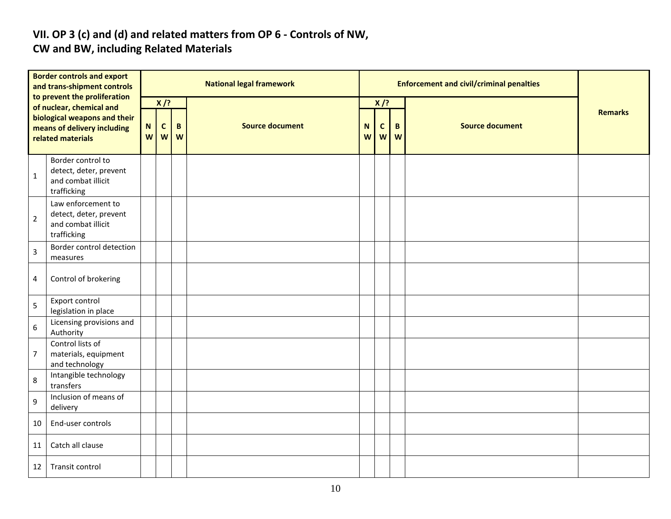# **VII. OP 3 (c) and (d) and related matters from OP 6 - Controls of NW,**

### **CW and BW, including Related Materials**

| <b>Border controls and export</b><br>and trans-shipment controls<br>to prevent the proliferation |                                                                                   |                  |                   |        | <b>National legal framework</b> |        |                  | <b>Enforcement and civil/criminal penalties</b> |                        |                |
|--------------------------------------------------------------------------------------------------|-----------------------------------------------------------------------------------|------------------|-------------------|--------|---------------------------------|--------|------------------|-------------------------------------------------|------------------------|----------------|
|                                                                                                  | of nuclear, chemical and                                                          |                  | $X$ /?            |        |                                 |        | $X$ /?           |                                                 |                        |                |
| biological weapons and their<br>means of delivery including<br>related materials                 |                                                                                   | $\mathbf N$<br>W | $\mathbf{C}$<br>W | B<br>W | <b>Source document</b>          | N<br>W | $\mathbf c$<br>W | B<br>W                                          | <b>Source document</b> | <b>Remarks</b> |
| $\mathbf 1$                                                                                      | Border control to<br>detect, deter, prevent<br>and combat illicit<br>trafficking  |                  |                   |        |                                 |        |                  |                                                 |                        |                |
| $\overline{2}$                                                                                   | Law enforcement to<br>detect, deter, prevent<br>and combat illicit<br>trafficking |                  |                   |        |                                 |        |                  |                                                 |                        |                |
| $\overline{3}$                                                                                   | Border control detection<br>measures                                              |                  |                   |        |                                 |        |                  |                                                 |                        |                |
| 4                                                                                                | Control of brokering                                                              |                  |                   |        |                                 |        |                  |                                                 |                        |                |
| 5                                                                                                | Export control<br>legislation in place                                            |                  |                   |        |                                 |        |                  |                                                 |                        |                |
| $6\,$                                                                                            | Licensing provisions and<br>Authority                                             |                  |                   |        |                                 |        |                  |                                                 |                        |                |
| $\overline{7}$                                                                                   | Control lists of<br>materials, equipment<br>and technology                        |                  |                   |        |                                 |        |                  |                                                 |                        |                |
| 8                                                                                                | Intangible technology<br>transfers                                                |                  |                   |        |                                 |        |                  |                                                 |                        |                |
| 9                                                                                                | Inclusion of means of<br>delivery                                                 |                  |                   |        |                                 |        |                  |                                                 |                        |                |
| 10                                                                                               | End-user controls                                                                 |                  |                   |        |                                 |        |                  |                                                 |                        |                |
| 11                                                                                               | Catch all clause                                                                  |                  |                   |        |                                 |        |                  |                                                 |                        |                |
| 12                                                                                               | Transit control                                                                   |                  |                   |        |                                 |        |                  |                                                 |                        |                |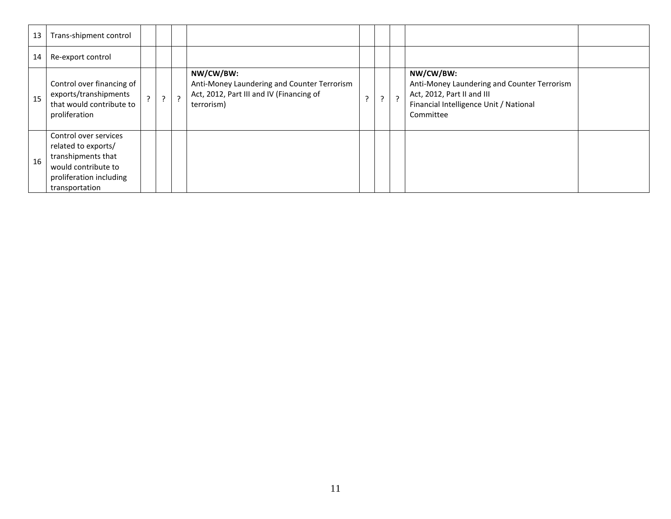| 13 | Trans-shipment control                                                                                                                 |                |                |         |                                                                                                                    |  |         |                                                                                                                                               |  |
|----|----------------------------------------------------------------------------------------------------------------------------------------|----------------|----------------|---------|--------------------------------------------------------------------------------------------------------------------|--|---------|-----------------------------------------------------------------------------------------------------------------------------------------------|--|
| 14 | Re-export control                                                                                                                      |                |                |         |                                                                                                                    |  |         |                                                                                                                                               |  |
| 15 | Control over financing of<br>exports/transhipments<br>that would contribute to<br>proliferation                                        | $\overline{z}$ | $\overline{?}$ | $\cdot$ | NW/CW/BW:<br>Anti-Money Laundering and Counter Terrorism<br>Act, 2012, Part III and IV (Financing of<br>terrorism) |  | $\cdot$ | NW/CW/BW:<br>Anti-Money Laundering and Counter Terrorism<br>Act, 2012, Part II and III<br>Financial Intelligence Unit / National<br>Committee |  |
| 16 | Control over services<br>related to exports/<br>transhipments that<br>would contribute to<br>proliferation including<br>transportation |                |                |         |                                                                                                                    |  |         |                                                                                                                                               |  |